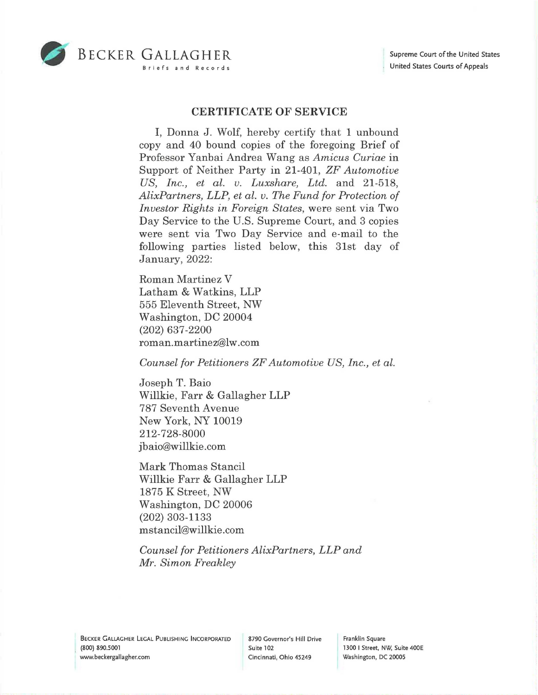

## *DECKER GALLAGHER* Briefs and Records

## **CERTIFICATE OF SERVICE**

I, Donna J. Wolf, hereby certify that 1 unbound copy and 40 bound copies of the foregoing Brief of Professor Y anbai Andrea Wang as *Amicus Curiae* in Support of Neither Party in 21-401, *ZF Automotive US, Inc., et al. v. Luxshare, Ltd.* and 21-518, *AlixPartners, LLP, et al. v. The Fund for Protection of Investor Rights in Foreign States,* were sent via Two Day Service to the U.S. Supreme Court, and 3 copies were sent via Two Day Service and e-mail to the following parties listed below, this 31st day of January, 2022:

Roman Martinez V Latham & Watkins, LLP 555 Eleventh Street, NW Washington, DC 20004 (202) 637-2200 roman.martinez@lw.com

*Counsel for Petitioners ZF Automotive US, Inc., et al.* 

Joseph T. Baio Willkie, Farr & Gallagher LLP 787 Seventh Avenue New York, NY 10019 212-728-8000 jbaio@willkie.com

Mark Thomas Stancil Willkie Farr & Gallagher LLP 1875 K Street, NW Washington, DC 20006 (202) 303-1133 mstancil@willkie.com

*Counsel for Petitioners AlixPartners, LLP and Mr. Simon Freakley*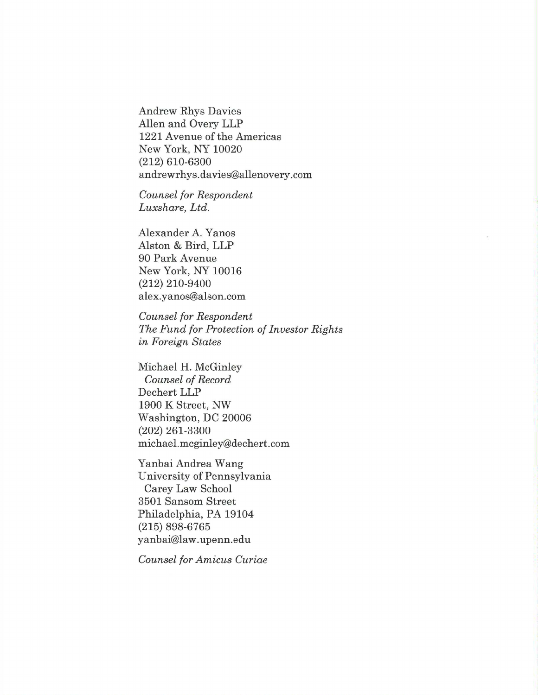Andrew Rhys Davies Allen and Overy LLP 1221 Avenue of the Americas New York, NY 10020 (212) 610-6300 andrewr hys.davies@allenovery.com

*Counsel for Respondent Luxshare, Ltd.* 

Alexander A. Yanos Alston & Bird, LLP 90 Park Avenue New York, NY 10016 (212) 210-9400 alex.yanos@alson.com

*Counsel for Respondent The Fund for Protection of Investor Rights in Foreign States* 

Michael H. McGinley *Counsel of Record*  Dechert LLP 1900 K Street, NW Washington, DC 20006 (202) 261-3300 michael.mcginley@dechert.com

Yanbai Andrea Wang University of Pennsylvania Carey Law School 3501 Sansom Street Philadelphia, PA 19104 (215) 898-6765 yanbai@law.upenn.edu

*Counsel for Amicus Curiae*